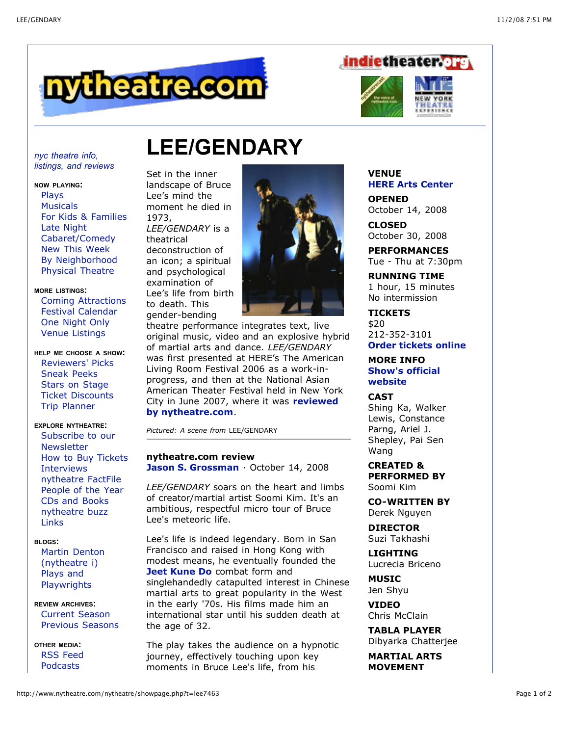





# **LEE/GENDARY**

*nyc theatre info, listings, and reviews*

#### **NOW PLAYING:**

[Plays](http://www.nytheatre.com/nytheatre/off.php) **[Musicals](http://www.nytheatre.com/nytheatre/shows.php)** For Kids & [Families](http://www.nytheatre.com/nytheatre/kids.php) Late [Night](http://www.nytheatre.com/nytheatre/latenite.php) [Cabaret/Comedy](http://www.nytheatre.com/nytheatre/varlist.php) New This [Week](http://www.nytheatre.com/nytheatre/new.php) By [Neighborhood](http://www.nytheatre.com/nytheatre/glist.php) [Physical](http://www.nytheatre.com/nytheatre/physical.php) Theatre

## **MORE LISTINGS:**

Coming [Attractions](http://www.nytheatre.com/nytheatre/coming.php) Festival [Calendar](http://www.nytheatre.com/nytheatre/special.php) One [Night](http://www.nytheatre.com/nytheatre/onenight.php) Only Venue [Listings](http://www.nytheatre.com/nytheatre/bwaythea.php)

**HELP ME CHOOSE A SHOW:** [Reviewers'](http://www.nytheatre.com/nytheatre/the_list.php) Picks [Sneak](http://www.indietheater.org/sneak.php) Peeks Stars on [Stage](http://www.nytheatre.com/nytheatre/starfile.php) Ticket [Discounts](http://www.nytheatre.com/nytheatre/discounts.php) Trip [Planner](http://www.nytheatre.com/nytheatre/tripplan.php)

# **EXPLORE NYTHEATRE:**

Subscribe to our **[Newsletter](http://visitor.constantcontact.com/email.jsp?m=1101744887266&p=oi)** How to Buy [Tickets](http://www.nytheatre.com/nytheatre/tickets.php) [Interviews](http://www.nytheatre.com/nytheatre/voices_list.php) [nytheatre](http://www.nytheatre.com/nytheatre/factfile.php) FactFile [People](http://www.nytheatre.com/nytheatre/poy.php) of the Year CDs and [Books](http://www.nytheatre.com/nytheatre/cd_shop.php) [nytheatre](http://www.nytheatre.com/nytheatre/buzz.php) buzz [Links](http://www.nytheatre.com/nytheatre/links.php)

#### **BLOGS:**

Martin Denton [\(nytheatre](http://www.nytheatre-i.com/) i) Plays and **[Playwrights](http://blog.nytesmallpress.com/)** 

**REVIEW ARCHIVES:** [Current](http://www.nytheatre.com/nytheatre/current.php) Season [Previous](http://www.nytheatre.com/nytheatre/archive.php) Seasons

**OTHER MEDIA:** RSS [Feed](http://www.nytheatre.com/nytheatre/rssinfo.php) [Podcasts](http://www.nytheatrecast.com/)

Set in the inner landscape of Bruce Lee's mind the moment he died in 1973, *LEE/GENDARY* is a theatrical

deconstruction of an icon; a spiritual and psychological examination of Lee's life from birth to death. This gender-bending



theatre performance integrates text, live original music, video and an explosive hybrid of martial arts and dance. *LEE/GENDARY* was first presented at HERE's The American Living Room Festival 2006 as a work-inprogress, and then at the National Asian American Theater Festival held in New York City in June 2007, where it was **reviewed by [nytheatre.com](http://www.nytheatre.com/nytheatre/A07rev_02.htm)**.

*Pictured: A scene from* LEE/GENDARY

# **nytheatre.com review Jason S. [Grossman](http://www.nytheatre.com/nytheatre/reviewerinfo.php?rev=100)** · October 14, 2008

*LEE/GENDARY* soars on the heart and limbs of creator/martial artist Soomi Kim. It's an ambitious, respectful micro tour of Bruce Lee's meteoric life.

Lee's life is indeed legendary. Born in San Francisco and raised in Hong Kong with modest means, he eventually founded the **Jeet [Kune](http://en.wikipedia.org/wiki/Jeet_Kune_Do) Do** combat form and singlehandedly catapulted interest in Chinese martial arts to great popularity in the West in the early '70s. His films made him an international star until his sudden death at the age of 32.

The play takes the audience on a hypnotic journey, effectively touching upon key moments in Bruce Lee's life, from his

# **VENUE HERE Arts [Center](http://www.nytheatre.com/nytheatre/venue.php?t=here)**

**OPENED** October 14, 2008

**CLOSED** October 30, 2008

**PERFORMANCES** Tue - Thu at 7:30pm

**RUNNING TIME** 1 hour, 15 minutes No intermission

**TICKETS** \$20 212-352-3101 **Order [tickets](http://www.here.org/) online**

# **MORE INFO Show's official [website](http://www.leegendary.com/)**

### **CAST**

Shing Ka, Walker Lewis, Constance Parng, Ariel J. Shepley, Pai Sen Wang

**CREATED & PERFORMED BY** Soomi Kim

**CO-WRITTEN BY** Derek Nguyen

**DIRECTOR** Suzi Takhashi

**LIGHTING** Lucrecia Briceno

**MUSIC** Jen Shyu

**VIDEO** Chris McClain

**TABLA PLAYER** Dibyarka Chatterjee

**MARTIAL ARTS MOVEMENT**